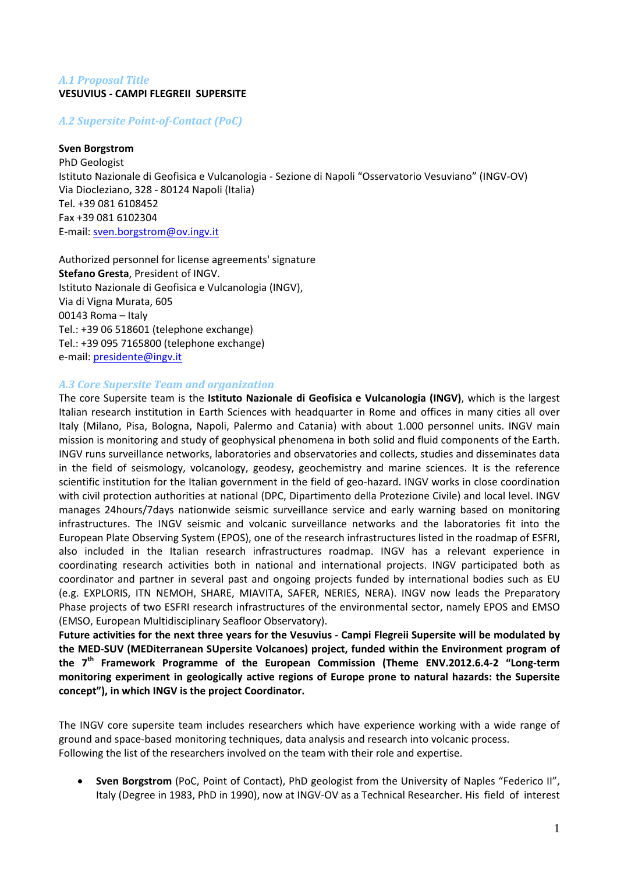# *A.1 Proposal Title* **VESUVIUS ‐ CAMPI FLEGREII SUPERSITE**

*A.2 Supersite PointofContact (PoC)*

## **Sven Borgstrom**

PhD Geologist Istituto Nazionale di Geofisica e Vulcanologia ‐ Sezione di Napoli "Osservatorio Vesuviano" (INGV‐OV) Via Diocleziano, 328 ‐ 80124 Napoli (Italia) Tel. +39 081 6108452 Fax +39 081 6102304 E‐mail: sven.borgstrom@ov.ingv.it

Authorized personnel for license agreements' signature **Stefano Gresta**, President of INGV. Istituto Nazionale di Geofisica e Vulcanologia (INGV), Via di Vigna Murata, 605 00143 Roma – Italy Tel.: +39 06 518601 (telephone exchange) Tel.: +39 095 7165800 (telephone exchange) e‐mail: presidente@ingv.it

### *A.3 Core Supersite Team and organization*

The core Supersite team is the **Istituto Nazionale di Geofisica e Vulcanologia (INGV)**, which is the largest Italian research institution in Earth Sciences with headquarter in Rome and offices in many cities all over Italy (Milano, Pisa, Bologna, Napoli, Palermo and Catania) with about 1.000 personnel units. INGV main mission is monitoring and study of geophysical phenomena in both solid and fluid components of the Earth. INGV runs surveillance networks, laboratories and observatories and collects, studies and disseminates data in the field of seismology, volcanology, geodesy, geochemistry and marine sciences. It is the reference scientific institution for the Italian government in the field of geo-hazard. INGV works in close coordination with civil protection authorities at national (DPC, Dipartimento della Protezione Civile) and local level. INGV manages 24hours/7days nationwide seismic surveillance service and early warning based on monitoring infrastructures. The INGV seismic and volcanic surveillance networks and the laboratories fit into the European Plate Observing System (EPOS), one of the research infrastructures listed in the roadmap of ESFRI, also included in the Italian research infrastructures roadmap. INGV has a relevant experience in coordinating research activities both in national and international projects. INGV participated both as coordinator and partner in several past and ongoing projects funded by international bodies such as EU (e.g. EXPLORIS, ITN NEMOH, SHARE, MIAVITA, SAFER, NERIES, NERA). INGV now leads the Preparatory Phase projects of two ESFRI research infrastructures of the environmental sector, namely EPOS and EMSO (EMSO, European Multidisciplinary Seafloor Observatory).

Future activities for the next three years for the Vesuvius - Campi Flegreii Supersite will be modulated by **the MED‐SUV (MEDiterranean SUpersite Volcanoes) project, funded within the Environment program of the 7th Framework Programme of the European Commission (Theme ENV.2012.6.4‐2 "Long‐term monitoring experiment in geologically active regions of Europe prone to natural hazards: the Supersite concept"), in which INGV is the project Coordinator.**

The INGV core supersite team includes researchers which have experience working with a wide range of ground and space‐based monitoring techniques, data analysis and research into volcanic process. Following the list of the researchers involved on the team with their role and expertise.

• **Sven Borgstrom** (PoC, Point of Contact), PhD geologist from the University of Naples "Federico II", Italy (Degree in 1983, PhD in 1990), now at INGV‐OV as a Technical Researcher. His field of interest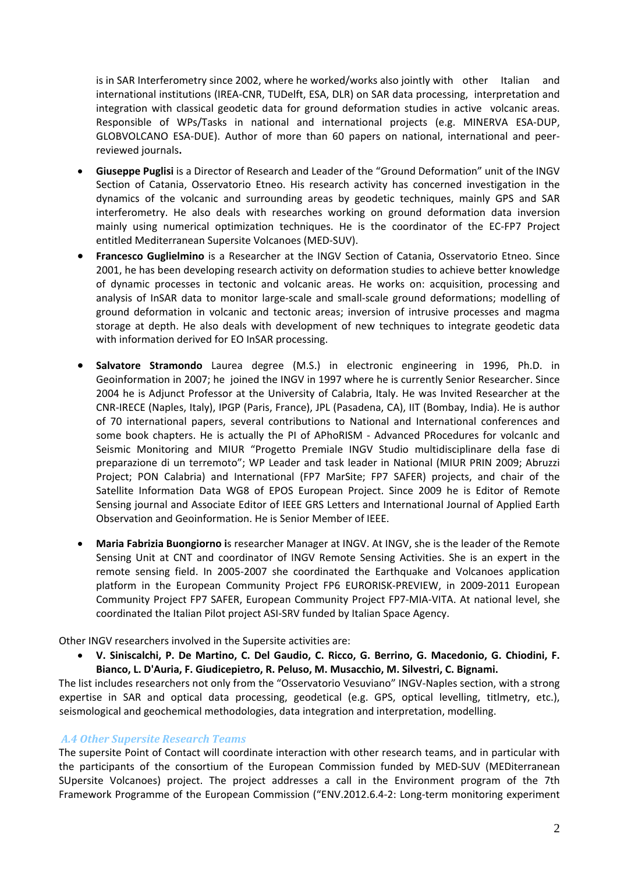is in SAR Interferometry since 2002, where he worked/works also jointly with other Italian and international institutions (IREA‐CNR, TUDelft, ESA, DLR) on SAR data processing, interpretation and integration with classical geodetic data for ground deformation studies in active volcanic areas. Responsible of WPs/Tasks in national and international projects (e.g. MINERVA ESA‐DUP, GLOBVOLCANO ESA‐DUE). Author of more than 60 papers on national, international and peer‐ reviewed journals**.** 

- **Giuseppe Puglisi** is a Director of Research and Leader of the "Ground Deformation" unit of the INGV Section of Catania, Osservatorio Etneo. His research activity has concerned investigation in the dynamics of the volcanic and surrounding areas by geodetic techniques, mainly GPS and SAR interferometry. He also deals with researches working on ground deformation data inversion mainly using numerical optimization techniques. He is the coordinator of the EC‐FP7 Project entitled Mediterranean Supersite Volcanoes (MED‐SUV).
- **Francesco Guglielmino** is a Researcher at the INGV Section of Catania, Osservatorio Etneo. Since 2001, he has been developing research activity on deformation studies to achieve better knowledge of dynamic processes in tectonic and volcanic areas. He works on: acquisition, processing and analysis of InSAR data to monitor large-scale and small-scale ground deformations; modelling of ground deformation in volcanic and tectonic areas; inversion of intrusive processes and magma storage at depth. He also deals with development of new techniques to integrate geodetic data with information derived for EO InSAR processing.
- **Salvatore Stramondo** Laurea degree (M.S.) in electronic engineering in 1996, Ph.D. in Geoinformation in 2007; he joined the INGV in 1997 where he is currently Senior Researcher. Since 2004 he is Adjunct Professor at the University of Calabria, Italy. He was Invited Researcher at the CNR‐IRECE (Naples, Italy), IPGP (Paris, France), JPL (Pasadena, CA), IIT (Bombay, India). He is author of 70 international papers, several contributions to National and International conferences and some book chapters. He is actually the PI of APhoRISM - Advanced PRocedures for volcanic and Seismic Monitoring and MIUR "Progetto Premiale INGV Studio multidisciplinare della fase di preparazione di un terremoto"; WP Leader and task leader in National (MIUR PRIN 2009; Abruzzi Project; PON Calabria) and International (FP7 MarSite; FP7 SAFER) projects, and chair of the Satellite Information Data WG8 of EPOS European Project. Since 2009 he is Editor of Remote Sensing journal and Associate Editor of IEEE GRS Letters and International Journal of Applied Earth Observation and Geoinformation. He is Senior Member of IEEE.
- **Maria Fabrizia Buongiorno i**s researcher Manager at INGV. At INGV, she is the leader of the Remote Sensing Unit at CNT and coordinator of INGV Remote Sensing Activities. She is an expert in the remote sensing field. In 2005‐2007 she coordinated the Earthquake and Volcanoes application platform in the European Community Project FP6 EURORISK-PREVIEW, in 2009-2011 European Community Project FP7 SAFER, European Community Project FP7‐MIA‐VITA. At national level, she coordinated the Italian Pilot project ASI‐SRV funded by Italian Space Agency.

Other INGV researchers involved in the Supersite activities are:

• **V. Siniscalchi, P. De Martino, C. Del Gaudio, C. Ricco, G. Berrino, G. Macedonio, G. Chiodini, F. Bianco, L. D'Auria, F. Giudicepietro, R. Peluso, M. Musacchio, M. Silvestri, C. Bignami.**

The list includes researchers not only from the "Osservatorio Vesuviano" INGV‐Naples section, with a strong expertise in SAR and optical data processing, geodetical (e.g. GPS, optical levelling, titlmetry, etc.), seismological and geochemical methodologies, data integration and interpretation, modelling.

# *A.4 Other Supersite Research Teams*

The supersite Point of Contact will coordinate interaction with other research teams, and in particular with the participants of the consortium of the European Commission funded by MED-SUV (MEDiterranean SUpersite Volcanoes) project. The project addresses a call in the Environment program of the 7th Framework Programme of the European Commission ("ENV.2012.6.4-2: Long-term monitoring experiment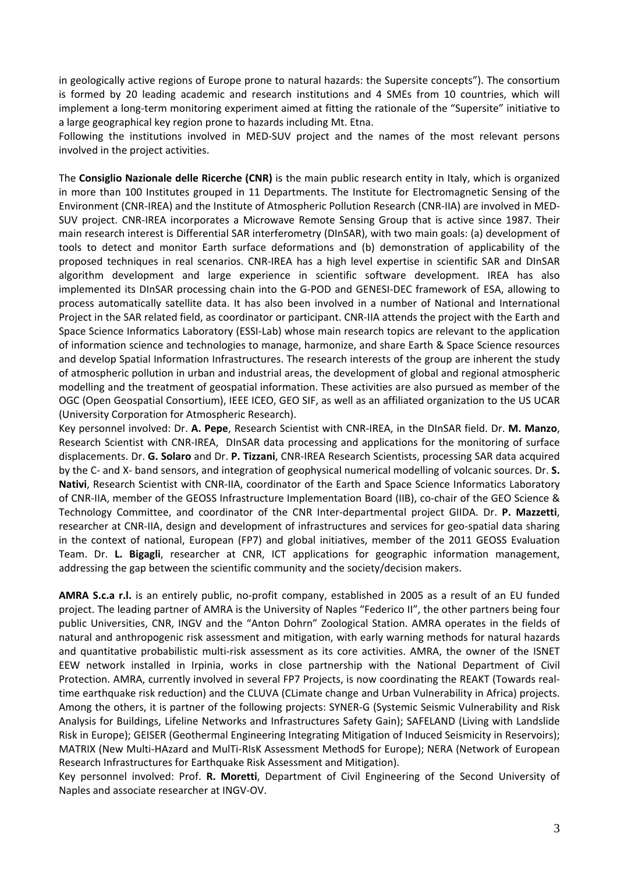in geologically active regions of Europe prone to natural hazards: the Supersite concepts"). The consortium is formed by 20 leading academic and research institutions and 4 SMEs from 10 countries, which will implement a long‐term monitoring experiment aimed at fitting the rationale of the "Supersite" initiative to a large geographical key region prone to hazards including Mt. Etna.

Following the institutions involved in MED-SUV project and the names of the most relevant persons involved in the project activities.

The **Consiglio Nazionale delle Ricerche (CNR)** is the main public research entity in Italy, which is organized in more than 100 Institutes grouped in 11 Departments. The Institute for Electromagnetic Sensing of the Environment (CNR‐IREA) and the Institute of Atmospheric Pollution Research (CNR‐IIA) are involved in MED‐ SUV project. CNR‐IREA incorporates a Microwave Remote Sensing Group that is active since 1987. Their main research interest is Differential SAR interferometry (DInSAR), with two main goals: (a) development of tools to detect and monitor Earth surface deformations and (b) demonstration of applicability of the proposed techniques in real scenarios. CNR‐IREA has a high level expertise in scientific SAR and DInSAR algorithm development and large experience in scientific software development. IREA has also implemented its DInSAR processing chain into the G-POD and GENESI-DEC framework of ESA, allowing to process automatically satellite data. It has also been involved in a number of National and International Project in the SAR related field, as coordinator or participant. CNR‐IIA attends the project with the Earth and Space Science Informatics Laboratory (ESSI‐Lab) whose main research topics are relevant to the application of information science and technologies to manage, harmonize, and share Earth & Space Science resources and develop Spatial Information Infrastructures. The research interests of the group are inherent the study of atmospheric pollution in urban and industrial areas, the development of global and regional atmospheric modelling and the treatment of geospatial information. These activities are also pursued as member of the OGC (Open Geospatial Consortium), IEEE ICEO, GEO SIF, as well as an affiliated organization to the US UCAR (University Corporation for Atmospheric Research).

Key personnel involved: Dr. **A. Pepe**, Research Scientist with CNR‐IREA, in the DInSAR field. Dr. **M. Manzo**, Research Scientist with CNR‐IREA, DInSAR data processing and applications for the monitoring of surface displacements. Dr. **G. Solaro** and Dr. **P. Tizzani**, CNR‐IREA Research Scientists, processing SAR data acquired by the C‐ and X‐ band sensors, and integration of geophysical numerical modelling of volcanic sources. Dr. **S. Nativi**, Research Scientist with CNR‐IIA, coordinator of the Earth and Space Science Informatics Laboratory of CNR-IIA, member of the GEOSS Infrastructure Implementation Board (IIB), co-chair of the GEO Science & Technology Committee, and coordinator of the CNR Inter‐departmental project GIIDA. Dr. **P. Mazzetti**, researcher at CNR‐IIA, design and development of infrastructures and services for geo‐spatial data sharing in the context of national, European (FP7) and global initiatives, member of the 2011 GEOSS Evaluation Team. Dr. **L. Bigagli**, researcher at CNR, ICT applications for geographic information management, addressing the gap between the scientific community and the society/decision makers.

**AMRA S.c.a r.l.** is an entirely public, no‐profit company, established in 2005 as a result of an EU funded project. The leading partner of AMRA is the University of Naples "Federico II", the other partners being four public Universities, CNR, INGV and the "Anton Dohrn" Zoological Station. AMRA operates in the fields of natural and anthropogenic risk assessment and mitigation, with early warning methods for natural hazards and quantitative probabilistic multi‐risk assessment as its core activities. AMRA, the owner of the ISNET EEW network installed in Irpinia, works in close partnership with the National Department of Civil Protection. AMRA, currently involved in several FP7 Projects, is now coordinating the REAKT (Towards real‐ time earthquake risk reduction) and the CLUVA (CLimate change and Urban Vulnerability in Africa) projects. Among the others, it is partner of the following projects: SYNER‐G (Systemic Seismic Vulnerability and Risk Analysis for Buildings, Lifeline Networks and Infrastructures Safety Gain); SAFELAND (Living with Landslide Risk in Europe); GEISER (Geothermal Engineering Integrating Mitigation of Induced Seismicity in Reservoirs); MATRIX (New Multi‐HAzard and MulTi‐RIsK Assessment MethodS for Europe); NERA (Network of European Research Infrastructures for Earthquake Risk Assessment and Mitigation).

Key personnel involved: Prof. **R. Moretti**, Department of Civil Engineering of the Second University of Naples and associate researcher at INGV‐OV.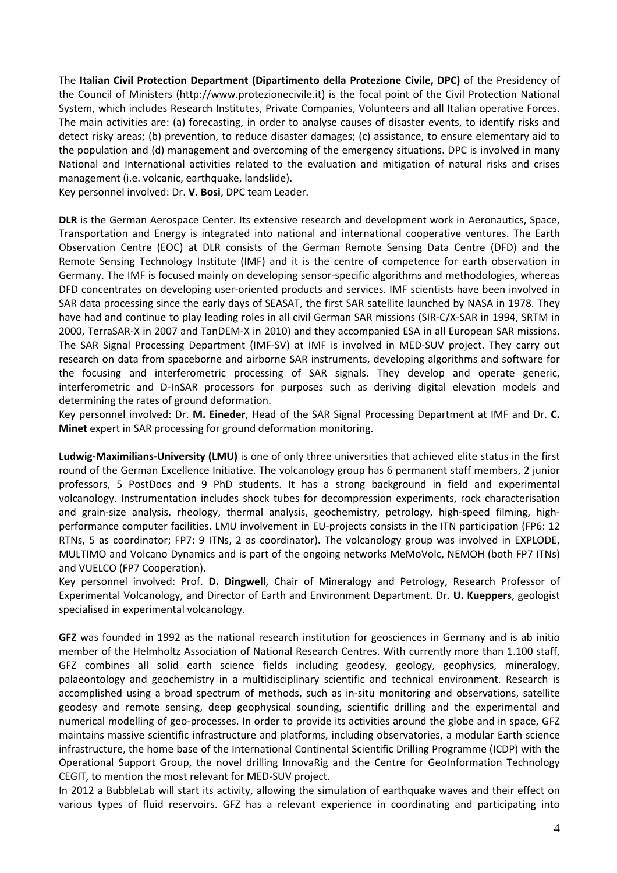The **Italian Civil Protection Department (Dipartimento della Protezione Civile, DPC)** of the Presidency of the Council of Ministers (http://www.protezionecivile.it) is the focal point of the Civil Protection National System, which includes Research Institutes, Private Companies, Volunteers and all Italian operative Forces. The main activities are: (a) forecasting, in order to analyse causes of disaster events, to identify risks and detect risky areas; (b) prevention, to reduce disaster damages; (c) assistance, to ensure elementary aid to the population and (d) management and overcoming of the emergency situations. DPC is involved in many National and International activities related to the evaluation and mitigation of natural risks and crises management (i.e. volcanic, earthquake, landslide).

Key personnel involved: Dr. **V. Bosi**, DPC team Leader.

**DLR** is the German Aerospace Center. Its extensive research and development work in Aeronautics, Space, Transportation and Energy is integrated into national and international cooperative ventures. The Earth Observation Centre (EOC) at DLR consists of the German Remote Sensing Data Centre (DFD) and the Remote Sensing Technology Institute (IMF) and it is the centre of competence for earth observation in Germany. The IMF is focused mainly on developing sensor‐specific algorithms and methodologies, whereas DFD concentrates on developing user-oriented products and services. IMF scientists have been involved in SAR data processing since the early days of SEASAT, the first SAR satellite launched by NASA in 1978. They have had and continue to play leading roles in all civil German SAR missions (SIR‐C/X‐SAR in 1994, SRTM in 2000, TerraSAR‐X in 2007 and TanDEM‐X in 2010) and they accompanied ESA in all European SAR missions. The SAR Signal Processing Department (IMF‐SV) at IMF is involved in MED‐SUV project. They carry out research on data from spaceborne and airborne SAR instruments, developing algorithms and software for the focusing and interferometric processing of SAR signals. They develop and operate generic, interferometric and D‐InSAR processors for purposes such as deriving digital elevation models and determining the rates of ground deformation.

Key personnel involved: Dr. **M. Eineder**, Head of the SAR Signal Processing Department at IMF and Dr. **C. Minet** expert in SAR processing for ground deformation monitoring.

**Ludwig‐Maximilians‐University (LMU)** is one of only three universities that achieved elite status in the first round of the German Excellence Initiative. The volcanology group has 6 permanent staff members, 2 junior professors, 5 PostDocs and 9 PhD students. It has a strong background in field and experimental volcanology. Instrumentation includes shock tubes for decompression experiments, rock characterisation and grain-size analysis, rheology, thermal analysis, geochemistry, petrology, high-speed filming, highperformance computer facilities. LMU involvement in EU-projects consists in the ITN participation (FP6: 12 RTNs, 5 as coordinator; FP7: 9 ITNs, 2 as coordinator). The volcanology group was involved in EXPLODE, MULTIMO and Volcano Dynamics and is part of the ongoing networks MeMoVolc, NEMOH (both FP7 ITNs) and VUELCO (FP7 Cooperation).

Key personnel involved: Prof. **D. Dingwell**, Chair of Mineralogy and Petrology, Research Professor of Experimental Volcanology, and Director of Earth and Environment Department. Dr. **U. Kueppers**, geologist specialised in experimental volcanology.

**GFZ** was founded in 1992 as the national research institution for geosciences in Germany and is ab initio member of the Helmholtz Association of National Research Centres. With currently more than 1.100 staff, GFZ combines all solid earth science fields including geodesy, geology, geophysics, mineralogy, palaeontology and geochemistry in a multidisciplinary scientific and technical environment. Research is accomplished using a broad spectrum of methods, such as in‐situ monitoring and observations, satellite geodesy and remote sensing, deep geophysical sounding, scientific drilling and the experimental and numerical modelling of geo‐processes. In order to provide its activities around the globe and in space, GFZ maintains massive scientific infrastructure and platforms, including observatories, a modular Earth science infrastructure, the home base of the International Continental Scientific Drilling Programme (ICDP) with the Operational Support Group, the novel drilling InnovaRig and the Centre for GeoInformation Technology CEGIT, to mention the most relevant for MED‐SUV project.

In 2012 a BubbleLab will start its activity, allowing the simulation of earthquake waves and their effect on various types of fluid reservoirs. GFZ has a relevant experience in coordinating and participating into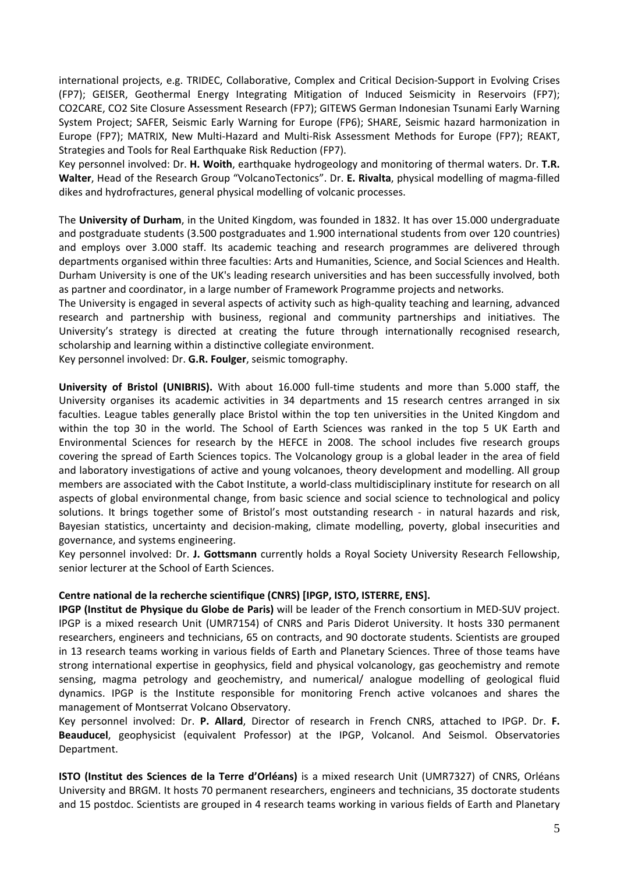international projects, e.g. TRIDEC, Collaborative, Complex and Critical Decision‐Support in Evolving Crises (FP7); GEISER, Geothermal Energy Integrating Mitigation of Induced Seismicity in Reservoirs (FP7); CO2CARE, CO2 Site Closure Assessment Research (FP7); GITEWS German Indonesian Tsunami Early Warning System Project; SAFER, Seismic Early Warning for Europe (FP6); SHARE, Seismic hazard harmonization in Europe (FP7); MATRIX, New Multi‐Hazard and Multi‐Risk Assessment Methods for Europe (FP7); REAKT, Strategies and Tools for Real Earthquake Risk Reduction (FP7).

Key personnel involved: Dr. **H. Woith**, earthquake hydrogeology and monitoring of thermal waters. Dr. **T.R. Walter**, Head of the Research Group "VolcanoTectonics". Dr. **E. Rivalta**, physical modelling of magma‐filled dikes and hydrofractures, general physical modelling of volcanic processes.

The **University of Durham**, in the United Kingdom, was founded in 1832. It has over 15.000 undergraduate and postgraduate students (3.500 postgraduates and 1.900 international students from over 120 countries) and employs over 3.000 staff. Its academic teaching and research programmes are delivered through departments organised within three faculties: Arts and Humanities, Science, and Social Sciences and Health. Durham University is one of the UK's leading research universities and has been successfully involved, both as partner and coordinator, in a large number of Framework Programme projects and networks.

The University is engaged in several aspects of activity such as high‐quality teaching and learning, advanced research and partnership with business, regional and community partnerships and initiatives. The University's strategy is directed at creating the future through internationally recognised research, scholarship and learning within a distinctive collegiate environment.

Key personnel involved: Dr. **G.R. Foulger**, seismic tomography.

**University of Bristol (UNIBRIS).** With about 16.000 full‐time students and more than 5.000 staff, the University organises its academic activities in 34 departments and 15 research centres arranged in six faculties. League tables generally place Bristol within the top ten universities in the United Kingdom and within the top 30 in the world. The School of Earth Sciences was ranked in the top 5 UK Earth and Environmental Sciences for research by the HEFCE in 2008. The school includes five research groups covering the spread of Earth Sciences topics. The Volcanology group is a global leader in the area of field and laboratory investigations of active and young volcanoes, theory development and modelling. All group members are associated with the Cabot Institute, a world‐class multidisciplinary institute for research on all aspects of global environmental change, from basic science and social science to technological and policy solutions. It brings together some of Bristol's most outstanding research - in natural hazards and risk, Bayesian statistics, uncertainty and decision-making, climate modelling, poverty, global insecurities and governance, and systems engineering.

Key personnel involved: Dr. **J. Gottsmann** currently holds a Royal Society University Research Fellowship, senior lecturer at the School of Earth Sciences.

### **Centre national de la recherche scientifique (CNRS) [IPGP, ISTO, ISTERRE, ENS].**

**IPGP (Institut de Physique du Globe de Paris)** will be leader of the French consortium in MED‐SUV project. IPGP is a mixed research Unit (UMR7154) of CNRS and Paris Diderot University. It hosts 330 permanent researchers, engineers and technicians, 65 on contracts, and 90 doctorate students. Scientists are grouped in 13 research teams working in various fields of Earth and Planetary Sciences. Three of those teams have strong international expertise in geophysics, field and physical volcanology, gas geochemistry and remote sensing, magma petrology and geochemistry, and numerical/ analogue modelling of geological fluid dynamics. IPGP is the Institute responsible for monitoring French active volcanoes and shares the management of Montserrat Volcano Observatory.

Key personnel involved: Dr. **P. Allard**, Director of research in French CNRS, attached to IPGP. Dr. **F. Beauducel**, geophysicist (equivalent Professor) at the IPGP, Volcanol. And Seismol. Observatories Department.

**ISTO (Institut des Sciences de la Terre d'Orléans)** is a mixed research Unit (UMR7327) of CNRS, Orléans University and BRGM. It hosts 70 permanent researchers, engineers and technicians, 35 doctorate students and 15 postdoc. Scientists are grouped in 4 research teams working in various fields of Earth and Planetary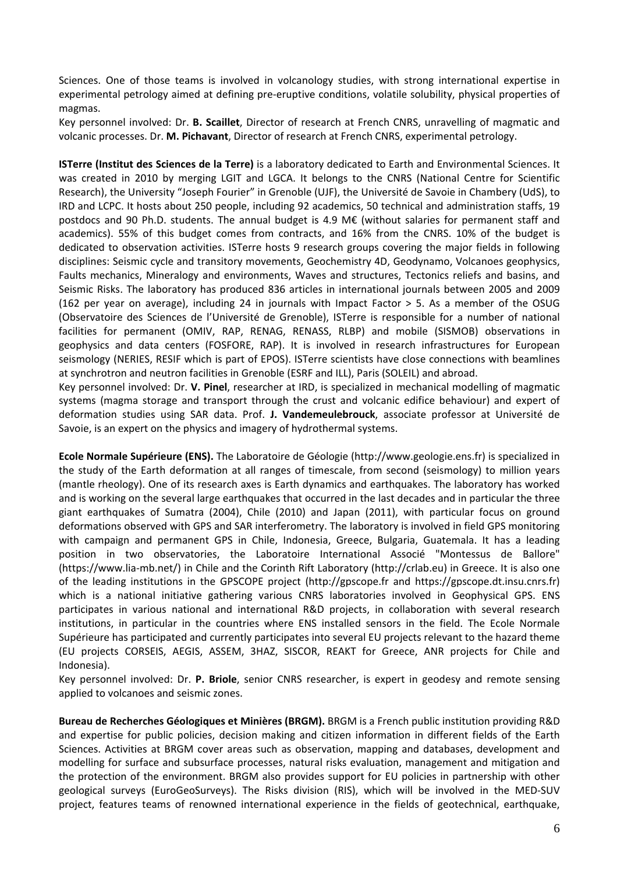Sciences. One of those teams is involved in volcanology studies, with strong international expertise in experimental petrology aimed at defining pre‐eruptive conditions, volatile solubility, physical properties of magmas.

Key personnel involved: Dr. **B. Scaillet**, Director of research at French CNRS, unravelling of magmatic and volcanic processes. Dr. **M. Pichavant**, Director of research at French CNRS, experimental petrology.

**ISTerre (Institut des Sciences de la Terre)** is a laboratory dedicated to Earth and Environmental Sciences. It was created in 2010 by merging LGIT and LGCA. It belongs to the CNRS (National Centre for Scientific Research), the University "Joseph Fourier" in Grenoble (UJF), the Université de Savoie in Chambery (UdS), to IRD and LCPC. It hosts about 250 people, including 92 academics, 50 technical and administration staffs, 19 postdocs and 90 Ph.D. students. The annual budget is 4.9 M€ (without salaries for permanent staff and academics). 55% of this budget comes from contracts, and 16% from the CNRS. 10% of the budget is dedicated to observation activities. ISTerre hosts 9 research groups covering the major fields in following disciplines: Seismic cycle and transitory movements, Geochemistry 4D, Geodynamo, Volcanoes geophysics, Faults mechanics, Mineralogy and environments, Waves and structures, Tectonics reliefs and basins, and Seismic Risks. The laboratory has produced 836 articles in international journals between 2005 and 2009 (162 per year on average), including 24 in journals with Impact Factor > 5. As a member of the OSUG (Observatoire des Sciences de l'Université de Grenoble), ISTerre is responsible for a number of national facilities for permanent (OMIV, RAP, RENAG, RENASS, RLBP) and mobile (SISMOB) observations in geophysics and data centers (FOSFORE, RAP). It is involved in research infrastructures for European seismology (NERIES, RESIF which is part of EPOS). ISTerre scientists have close connections with beamlines at synchrotron and neutron facilities in Grenoble (ESRF and ILL), Paris (SOLEIL) and abroad.

Key personnel involved: Dr. **V. Pinel**, researcher at IRD, is specialized in mechanical modelling of magmatic systems (magma storage and transport through the crust and volcanic edifice behaviour) and expert of deformation studies using SAR data. Prof. **J. Vandemeulebrouck**, associate professor at Université de Savoie, is an expert on the physics and imagery of hydrothermal systems.

**Ecole Normale Supérieure (ENS).** The Laboratoire de Géologie (http://www.geologie.ens.fr) is specialized in the study of the Earth deformation at all ranges of timescale, from second (seismology) to million years (mantle rheology). One of its research axes is Earth dynamics and earthquakes. The laboratory has worked and is working on the several large earthquakes that occurred in the last decades and in particular the three giant earthquakes of Sumatra (2004), Chile (2010) and Japan (2011), with particular focus on ground deformations observed with GPS and SAR interferometry. The laboratory is involved in field GPS monitoring with campaign and permanent GPS in Chile, Indonesia, Greece, Bulgaria, Guatemala. It has a leading position in two observatories, the Laboratoire International Associé "Montessus de Ballore" (https://www.lia‐mb.net/) in Chile and the Corinth Rift Laboratory (http://crlab.eu) in Greece. It is also one of the leading institutions in the GPSCOPE project (http://gpscope.fr and https://gpscope.dt.insu.cnrs.fr) which is a national initiative gathering various CNRS laboratories involved in Geophysical GPS. ENS participates in various national and international R&D projects, in collaboration with several research institutions, in particular in the countries where ENS installed sensors in the field. The Ecole Normale Supérieure has participated and currently participates into several EU projects relevant to the hazard theme (EU projects CORSEIS, AEGIS, ASSEM, 3HAZ, SISCOR, REAKT for Greece, ANR projects for Chile and Indonesia).

Key personnel involved: Dr. **P. Briole**, senior CNRS researcher, is expert in geodesy and remote sensing applied to volcanoes and seismic zones.

**Bureau de Recherches Géologiques et Minières (BRGM).** BRGM is a French public institution providing R&D and expertise for public policies, decision making and citizen information in different fields of the Earth Sciences. Activities at BRGM cover areas such as observation, mapping and databases, development and modelling for surface and subsurface processes, natural risks evaluation, management and mitigation and the protection of the environment. BRGM also provides support for EU policies in partnership with other geological surveys (EuroGeoSurveys). The Risks division (RIS), which will be involved in the MED‐SUV project, features teams of renowned international experience in the fields of geotechnical, earthquake,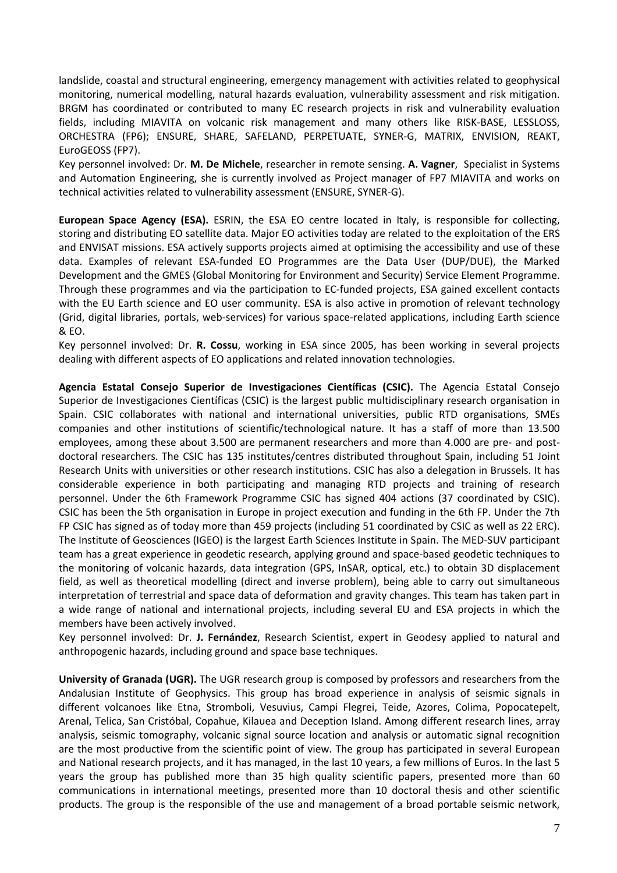landslide, coastal and structural engineering, emergency management with activities related to geophysical monitoring, numerical modelling, natural hazards evaluation, vulnerability assessment and risk mitigation. BRGM has coordinated or contributed to many EC research projects in risk and vulnerability evaluation fields, including MIAVITA on volcanic risk management and many others like RISK‐BASE, LESSLOSS, ORCHESTRA (FP6); ENSURE, SHARE, SAFELAND, PERPETUATE, SYNER‐G, MATRIX, ENVISION, REAKT, EuroGEOSS (FP7).

Key personnel involved: Dr. **M. De Michele**, researcher in remote sensing. **A. Vagner**, Specialist in Systems and Automation Engineering, she is currently involved as Project manager of FP7 MIAVITA and works on technical activities related to vulnerability assessment (ENSURE, SYNER‐G).

**European Space Agency (ESA).** ESRIN, the ESA EO centre located in Italy, is responsible for collecting, storing and distributing EO satellite data. Major EO activities today are related to the exploitation of the ERS and ENVISAT missions. ESA actively supports projects aimed at optimising the accessibility and use of these data. Examples of relevant ESA‐funded EO Programmes are the Data User (DUP/DUE), the Marked Development and the GMES (Global Monitoring for Environment and Security) Service Element Programme. Through these programmes and via the participation to EC‐funded projects, ESA gained excellent contacts with the EU Earth science and EO user community. ESA is also active in promotion of relevant technology (Grid, digital libraries, portals, web‐services) for various space‐related applications, including Earth science & EO.

Key personnel involved: Dr. **R. Cossu**, working in ESA since 2005, has been working in several projects dealing with different aspects of EO applications and related innovation technologies.

**Agencia Estatal Consejo Superior de Investigaciones Científicas (CSIC).** The Agencia Estatal Consejo Superior de Investigaciones Científicas (CSIC) is the largest public multidisciplinary research organisation in Spain. CSIC collaborates with national and international universities, public RTD organisations, SMEs companies and other institutions of scientific/technological nature. It has a staff of more than 13.500 employees, among these about 3.500 are permanent researchers and more than 4.000 are pre- and postdoctoral researchers. The CSIC has 135 institutes/centres distributed throughout Spain, including 51 Joint Research Units with universities or other research institutions. CSIC has also a delegation in Brussels. It has considerable experience in both participating and managing RTD projects and training of research personnel. Under the 6th Framework Programme CSIC has signed 404 actions (37 coordinated by CSIC). CSIC has been the 5th organisation in Europe in project execution and funding in the 6th FP. Under the 7th FP CSIC has signed as of today more than 459 projects (including 51 coordinated by CSIC as well as 22 ERC). The Institute of Geosciences (IGEO) is the largest Earth Sciences Institute in Spain. The MED‐SUV participant team has a great experience in geodetic research, applying ground and space‐based geodetic techniques to the monitoring of volcanic hazards, data integration (GPS, InSAR, optical, etc.) to obtain 3D displacement field, as well as theoretical modelling (direct and inverse problem), being able to carry out simultaneous interpretation of terrestrial and space data of deformation and gravity changes. This team has taken part in a wide range of national and international projects, including several EU and ESA projects in which the members have been actively involved.

Key personnel involved: Dr. **J. Fernández**, Research Scientist, expert in Geodesy applied to natural and anthropogenic hazards, including ground and space base techniques.

**University of Granada (UGR).** The UGR research group is composed by professors and researchers from the Andalusian Institute of Geophysics. This group has broad experience in analysis of seismic signals in different volcanoes like Etna, Stromboli, Vesuvius, Campi Flegrei, Teide, Azores, Colima, Popocatepelt, Arenal, Telica, San Cristóbal, Copahue, Kilauea and Deception Island. Among different research lines, array analysis, seismic tomography, volcanic signal source location and analysis or automatic signal recognition are the most productive from the scientific point of view. The group has participated in several European and National research projects, and it has managed, in the last 10 years, a few millions of Euros. In the last 5 years the group has published more than 35 high quality scientific papers, presented more than 60 communications in international meetings, presented more than 10 doctoral thesis and other scientific products. The group is the responsible of the use and management of a broad portable seismic network,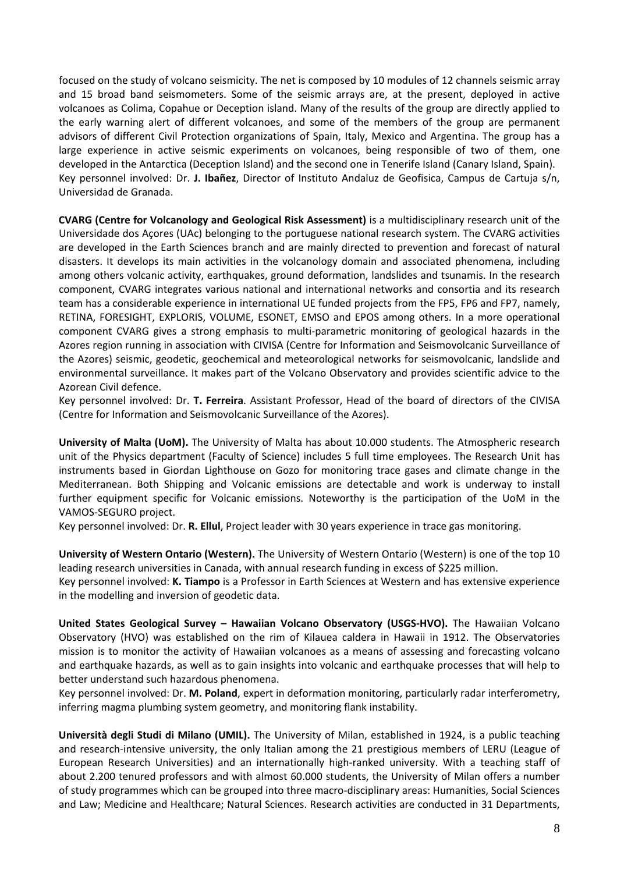focused on the study of volcano seismicity. The net is composed by 10 modules of 12 channels seismic array and 15 broad band seismometers. Some of the seismic arrays are, at the present, deployed in active volcanoes as Colima, Copahue or Deception island. Many of the results of the group are directly applied to the early warning alert of different volcanoes, and some of the members of the group are permanent advisors of different Civil Protection organizations of Spain, Italy, Mexico and Argentina. The group has a large experience in active seismic experiments on volcanoes, being responsible of two of them, one developed in the Antarctica (Deception Island) and the second one in Tenerife Island (Canary Island, Spain). Key personnel involved: Dr. **J. Ibañez**, Director of Instituto Andaluz de Geofisica, Campus de Cartuja s/n, Universidad de Granada.

**CVARG (Centre for Volcanology and Geological Risk Assessment)** is a multidisciplinary research unit of the Universidade dos Açores (UAc) belonging to the portuguese national research system. The CVARG activities are developed in the Earth Sciences branch and are mainly directed to prevention and forecast of natural disasters. It develops its main activities in the volcanology domain and associated phenomena, including among others volcanic activity, earthquakes, ground deformation, landslides and tsunamis. In the research component, CVARG integrates various national and international networks and consortia and its research team has a considerable experience in international UE funded projects from the FP5, FP6 and FP7, namely, RETINA, FORESIGHT, EXPLORIS, VOLUME, ESONET, EMSO and EPOS among others. In a more operational component CVARG gives a strong emphasis to multi‐parametric monitoring of geological hazards in the Azores region running in association with CIVISA (Centre for Information and Seismovolcanic Surveillance of the Azores) seismic, geodetic, geochemical and meteorological networks for seismovolcanic, landslide and environmental surveillance. It makes part of the Volcano Observatory and provides scientific advice to the Azorean Civil defence.

Key personnel involved: Dr. **T. Ferreira**. Assistant Professor, Head of the board of directors of the CIVISA (Centre for Information and Seismovolcanic Surveillance of the Azores).

**University of Malta (UoM).** The University of Malta has about 10.000 students. The Atmospheric research unit of the Physics department (Faculty of Science) includes 5 full time employees. The Research Unit has instruments based in Giordan Lighthouse on Gozo for monitoring trace gases and climate change in the Mediterranean. Both Shipping and Volcanic emissions are detectable and work is underway to install further equipment specific for Volcanic emissions. Noteworthy is the participation of the UoM in the VAMOS‐SEGURO project.

Key personnel involved: Dr. **R. Ellul**, Project leader with 30 years experience in trace gas monitoring.

**University of Western Ontario (Western).** The University of Western Ontario (Western) is one of the top 10 leading research universities in Canada, with annual research funding in excess of \$225 million.

Key personnel involved: **K. Tiampo** is a Professor in Earth Sciences at Western and has extensive experience in the modelling and inversion of geodetic data.

**United States Geological Survey – Hawaiian Volcano Observatory (USGS‐HVO).** The Hawaiian Volcano Observatory (HVO) was established on the rim of Kilauea caldera in Hawaii in 1912. The Observatories mission is to monitor the activity of Hawaiian volcanoes as a means of assessing and forecasting volcano and earthquake hazards, as well as to gain insights into volcanic and earthquake processes that will help to better understand such hazardous phenomena.

Key personnel involved: Dr. **M. Poland**, expert in deformation monitoring, particularly radar interferometry, inferring magma plumbing system geometry, and monitoring flank instability.

**Università degli Studi di Milano (UMIL).** The University of Milan, established in 1924, is a public teaching and research-intensive university, the only Italian among the 21 prestigious members of LERU (League of European Research Universities) and an internationally high‐ranked university. With a teaching staff of about 2.200 tenured professors and with almost 60.000 students, the University of Milan offers a number of study programmes which can be grouped into three macro‐disciplinary areas: Humanities, Social Sciences and Law; Medicine and Healthcare; Natural Sciences. Research activities are conducted in 31 Departments,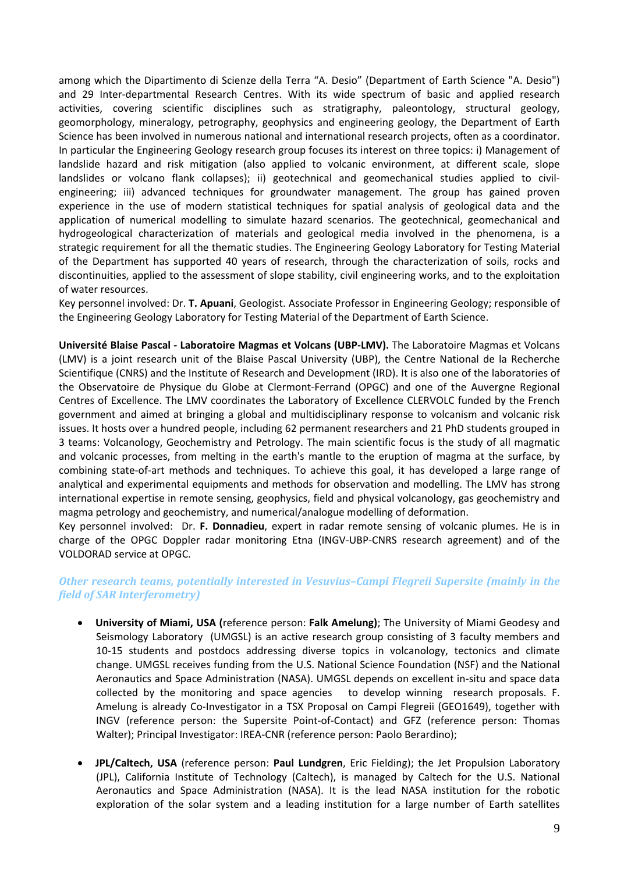among which the Dipartimento di Scienze della Terra "A. Desio" (Department of Earth Science "A. Desio") and 29 Inter-departmental Research Centres. With its wide spectrum of basic and applied research activities, covering scientific disciplines such as stratigraphy, paleontology, structural geology, geomorphology, mineralogy, petrography, geophysics and engineering geology, the Department of Earth Science has been involved in numerous national and international research projects, often as a coordinator. In particular the Engineering Geology research group focuses its interest on three topics: i) Management of landslide hazard and risk mitigation (also applied to volcanic environment, at different scale, slope landslides or volcano flank collapses); ii) geotechnical and geomechanical studies applied to civilengineering; iii) advanced techniques for groundwater management. The group has gained proven experience in the use of modern statistical techniques for spatial analysis of geological data and the application of numerical modelling to simulate hazard scenarios. The geotechnical, geomechanical and hydrogeological characterization of materials and geological media involved in the phenomena, is a strategic requirement for all the thematic studies. The Engineering Geology Laboratory for Testing Material of the Department has supported 40 years of research, through the characterization of soils, rocks and discontinuities, applied to the assessment of slope stability, civil engineering works, and to the exploitation of water resources.

Key personnel involved: Dr. **T. Apuani**, Geologist. Associate Professor in Engineering Geology; responsible of the Engineering Geology Laboratory for Testing Material of the Department of Earth Science.

**Université Blaise Pascal ‐ Laboratoire Magmas et Volcans (UBP‐LMV).** The Laboratoire Magmas et Volcans (LMV) is a joint research unit of the Blaise Pascal University (UBP), the Centre National de la Recherche Scientifique (CNRS) and the Institute of Research and Development (IRD). It is also one of the laboratories of the Observatoire de Physique du Globe at Clermont‐Ferrand (OPGC) and one of the Auvergne Regional Centres of Excellence. The LMV coordinates the Laboratory of Excellence CLERVOLC funded by the French government and aimed at bringing a global and multidisciplinary response to volcanism and volcanic risk issues. It hosts over a hundred people, including 62 permanent researchers and 21 PhD students grouped in 3 teams: Volcanology, Geochemistry and Petrology. The main scientific focus is the study of all magmatic and volcanic processes, from melting in the earth's mantle to the eruption of magma at the surface, by combining state‐of‐art methods and techniques. To achieve this goal, it has developed a large range of analytical and experimental equipments and methods for observation and modelling. The LMV has strong international expertise in remote sensing, geophysics, field and physical volcanology, gas geochemistry and magma petrology and geochemistry, and numerical/analogue modelling of deformation.

Key personnel involved: Dr. **F. Donnadieu**, expert in radar remote sensing of volcanic plumes. He is in charge of the OPGC Doppler radar monitoring Etna (INGV‐UBP‐CNRS research agreement) and of the VOLDORAD service at OPGC.

# *Other research teams, potentially interested in Vesuvius–Campi Flegreii Supersite (mainly in the field of SAR Interferometry)*

- **University of Miami, USA (**reference person: **Falk Amelung)**; The University of Miami Geodesy and Seismology Laboratory (UMGSL) is an active research group consisting of 3 faculty members and 10‐15 students and postdocs addressing diverse topics in volcanology, tectonics and climate change. UMGSL receives funding from the U.S. National Science Foundation (NSF) and the National Aeronautics and Space Administration (NASA). UMGSL depends on excellent in‐situ and space data collected by the monitoring and space agencies to develop winning research proposals. F. Amelung is already Co‐Investigator in a TSX Proposal on Campi Flegreii (GEO1649), together with INGV (reference person: the Supersite Point‐of‐Contact) and GFZ (reference person: Thomas Walter); Principal Investigator: IREA-CNR (reference person: Paolo Berardino);
- **JPL/Caltech, USA** (reference person: **Paul Lundgren**, Eric Fielding); the Jet Propulsion Laboratory (JPL), California Institute of Technology (Caltech), is managed by Caltech for the U.S. National Aeronautics and Space Administration (NASA). It is the lead NASA institution for the robotic exploration of the solar system and a leading institution for a large number of Earth satellites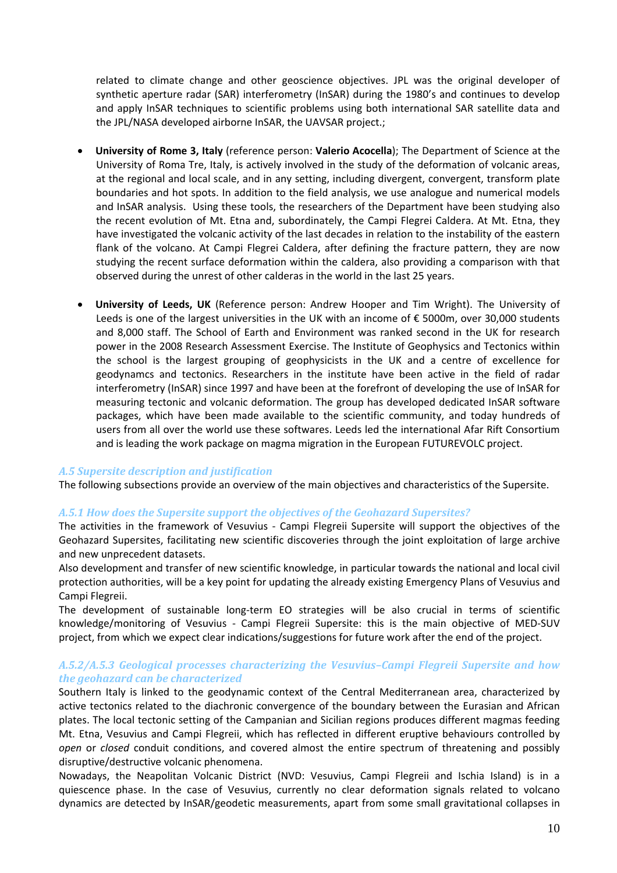related to climate change and other geoscience objectives. JPL was the original developer of synthetic aperture radar (SAR) interferometry (InSAR) during the 1980's and continues to develop and apply InSAR techniques to scientific problems using both international SAR satellite data and the JPL/NASA developed airborne InSAR, the UAVSAR project.;

- **University of Rome 3, Italy** (reference person: **Valerio Acocella**); The Department of Science at the University of Roma Tre, Italy, is actively involved in the study of the deformation of volcanic areas, at the regional and local scale, and in any setting, including divergent, convergent, transform plate boundaries and hot spots. In addition to the field analysis, we use analogue and numerical models and InSAR analysis. Using these tools, the researchers of the Department have been studying also the recent evolution of Mt. Etna and, subordinately, the Campi Flegrei Caldera. At Mt. Etna, they have investigated the volcanic activity of the last decades in relation to the instability of the eastern flank of the volcano. At Campi Flegrei Caldera, after defining the fracture pattern, they are now studying the recent surface deformation within the caldera, also providing a comparison with that observed during the unrest of other calderas in the world in the last 25 years.
- **University of Leeds, UK** (Reference person: Andrew Hooper and Tim Wright). The University of Leeds is one of the largest universities in the UK with an income of € 5000m, over 30,000 students and 8,000 staff. The School of Earth and Environment was ranked second in the UK for research power in the 2008 Research Assessment Exercise. The Institute of Geophysics and Tectonics within the school is the largest grouping of geophysicists in the UK and a centre of excellence for geodynamcs and tectonics. Researchers in the institute have been active in the field of radar interferometry (InSAR) since 1997 and have been at the forefront of developing the use of InSAR for measuring tectonic and volcanic deformation. The group has developed dedicated InSAR software packages, which have been made available to the scientific community, and today hundreds of users from all over the world use these softwares. Leeds led the international Afar Rift Consortium and is leading the work package on magma migration in the European FUTUREVOLC project.

### *A.5 Supersite description and justification*

The following subsections provide an overview of the main objectives and characteristics of the Supersite.

#### *A.5.1 How does the Supersite support the objectives of the Geohazard Supersites?*

The activities in the framework of Vesuvius - Campi Flegreii Supersite will support the objectives of the Geohazard Supersites, facilitating new scientific discoveries through the joint exploitation of large archive and new unprecedent datasets.

Also development and transfer of new scientific knowledge, in particular towards the national and local civil protection authorities, will be a key point for updating the already existing Emergency Plans of Vesuvius and Campi Flegreii.

The development of sustainable long-term EO strategies will be also crucial in terms of scientific knowledge/monitoring of Vesuvius - Campi Flegreii Supersite: this is the main objective of MED-SUV project, from which we expect clear indications/suggestions for future work after the end of the project.

### *A.5.2/A.5.3 Geological processes characterizing the Vesuvius–Campi Flegreii Supersite and how the geohazard can be characterized*

Southern Italy is linked to the geodynamic context of the Central Mediterranean area, characterized by active tectonics related to the diachronic convergence of the boundary between the Eurasian and African plates. The local tectonic setting of the Campanian and Sicilian regions produces different magmas feeding Mt. Etna, Vesuvius and Campi Flegreii, which has reflected in different eruptive behaviours controlled by *open* or *closed* conduit conditions, and covered almost the entire spectrum of threatening and possibly disruptive/destructive volcanic phenomena.

Nowadays, the Neapolitan Volcanic District (NVD: Vesuvius, Campi Flegreii and Ischia Island) is in a quiescence phase. In the case of Vesuvius, currently no clear deformation signals related to volcano dynamics are detected by InSAR/geodetic measurements, apart from some small gravitational collapses in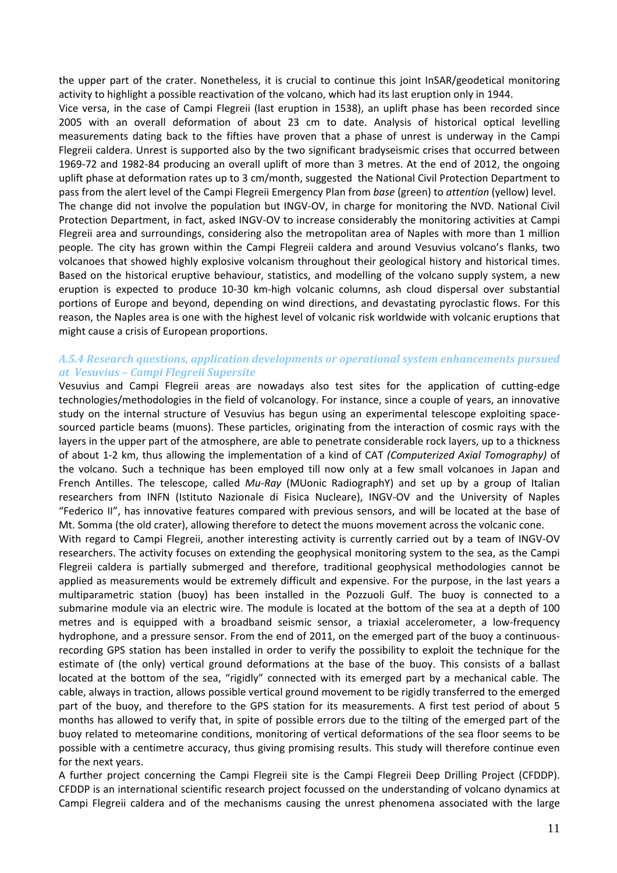the upper part of the crater. Nonetheless, it is crucial to continue this joint InSAR/geodetical monitoring activity to highlight a possible reactivation of the volcano, which had its last eruption only in 1944.

Vice versa, in the case of Campi Flegreii (last eruption in 1538), an uplift phase has been recorded since 2005 with an overall deformation of about 23 cm to date. Analysis of historical optical levelling measurements dating back to the fifties have proven that a phase of unrest is underway in the Campi Flegreii caldera. Unrest is supported also by the two significant bradyseismic crises that occurred between 1969‐72 and 1982‐84 producing an overall uplift of more than 3 metres. At the end of 2012, the ongoing uplift phase at deformation rates up to 3 cm/month, suggested the National Civil Protection Department to pass from the alert level of the Campi Flegreii Emergency Plan from *base* (green) to *attention* (yellow) level. The change did not involve the population but INGV‐OV, in charge for monitoring the NVD. National Civil Protection Department, in fact, asked INGV‐OV to increase considerably the monitoring activities at Campi Flegreii area and surroundings, considering also the metropolitan area of Naples with more than 1 million people. The city has grown within the Campi Flegreii caldera and around Vesuvius volcano's flanks, two volcanoes that showed highly explosive volcanism throughout their geological history and historical times. Based on the historical eruptive behaviour, statistics, and modelling of the volcano supply system, a new eruption is expected to produce 10‐30 km‐high volcanic columns, ash cloud dispersal over substantial portions of Europe and beyond, depending on wind directions, and devastating pyroclastic flows. For this reason, the Naples area is one with the highest level of volcanic risk worldwide with volcanic eruptions that might cause a crisis of European proportions.

## *A.5.4 Research questions, application developments or operational system enhancements pursued at Vesuvius – Campi Flegreii Supersite*

Vesuvius and Campi Flegreii areas are nowadays also test sites for the application of cutting‐edge technologies/methodologies in the field of volcanology. For instance, since a couple of years, an innovative study on the internal structure of Vesuvius has begun using an experimental telescope exploiting space‐ sourced particle beams (muons). These particles, originating from the interaction of cosmic rays with the layers in the upper part of the atmosphere, are able to penetrate considerable rock layers, up to a thickness of about 1‐2 km, thus allowing the implementation of a kind of CAT *(Computerized Axial Tomography)* of the volcano. Such a technique has been employed till now only at a few small volcanoes in Japan and French Antilles. The telescope, called *Mu-Ray* (MUonic RadiographY) and set up by a group of Italian researchers from INFN (Istituto Nazionale di Fisica Nucleare), INGV‐OV and the University of Naples "Federico II", has innovative features compared with previous sensors, and will be located at the base of Mt. Somma (the old crater), allowing therefore to detect the muons movement across the volcanic cone.

With regard to Campi Flegreii, another interesting activity is currently carried out by a team of INGV-OV researchers. The activity focuses on extending the geophysical monitoring system to the sea, as the Campi Flegreii caldera is partially submerged and therefore, traditional geophysical methodologies cannot be applied as measurements would be extremely difficult and expensive. For the purpose, in the last years a multiparametric station (buoy) has been installed in the Pozzuoli Gulf. The buoy is connected to a submarine module via an electric wire. The module is located at the bottom of the sea at a depth of 100 metres and is equipped with a broadband seismic sensor, a triaxial accelerometer, a low‐frequency hydrophone, and a pressure sensor. From the end of 2011, on the emerged part of the buoy a continuous‐ recording GPS station has been installed in order to verify the possibility to exploit the technique for the estimate of (the only) vertical ground deformations at the base of the buoy. This consists of a ballast located at the bottom of the sea, "rigidly" connected with its emerged part by a mechanical cable. The cable, always in traction, allows possible vertical ground movement to be rigidly transferred to the emerged part of the buoy, and therefore to the GPS station for its measurements. A first test period of about 5 months has allowed to verify that, in spite of possible errors due to the tilting of the emerged part of the buoy related to meteomarine conditions, monitoring of vertical deformations of the sea floor seems to be possible with a centimetre accuracy, thus giving promising results. This study will therefore continue even for the next years.

A further project concerning the Campi Flegreii site is the Campi Flegreii Deep Drilling Project (CFDDP). CFDDP is an international scientific research project focussed on the understanding of volcano dynamics at Campi Flegreii caldera and of the mechanisms causing the unrest phenomena associated with the large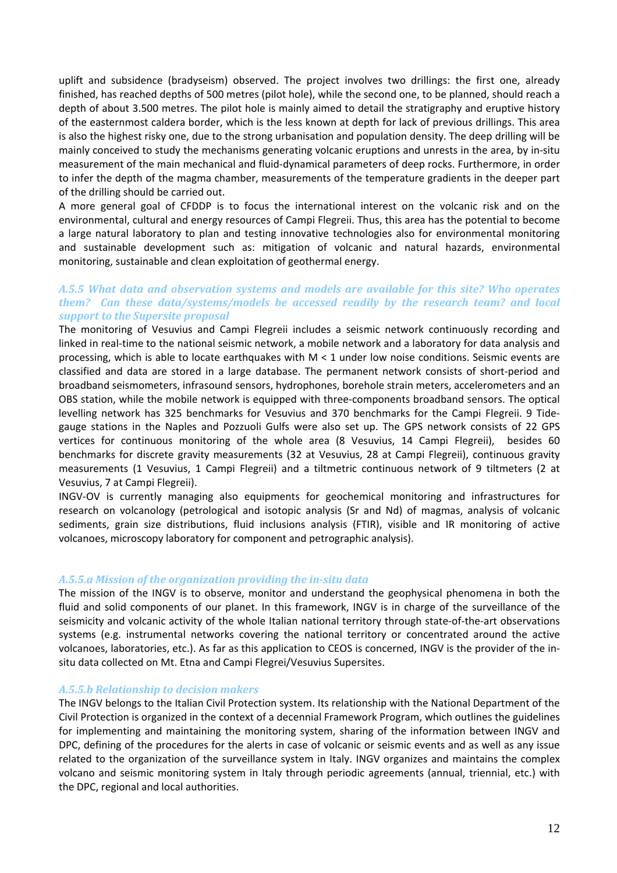uplift and subsidence (bradyseism) observed. The project involves two drillings: the first one, already finished, has reached depths of 500 metres (pilot hole), while the second one, to be planned, should reach a depth of about 3.500 metres. The pilot hole is mainly aimed to detail the stratigraphy and eruptive history of the easternmost caldera border, which is the less known at depth for lack of previous drillings. This area is also the highest risky one, due to the strong urbanisation and population density. The deep drilling will be mainly conceived to study the mechanisms generating volcanic eruptions and unrests in the area, by in‐situ measurement of the main mechanical and fluid‐dynamical parameters of deep rocks. Furthermore, in order to infer the depth of the magma chamber, measurements of the temperature gradients in the deeper part of the drilling should be carried out.

A more general goal of CFDDP is to focus the international interest on the volcanic risk and on the environmental, cultural and energy resources of Campi Flegreii. Thus, this area has the potential to become a large natural laboratory to plan and testing innovative technologies also for environmental monitoring and sustainable development such as: mitigation of volcanic and natural hazards, environmental monitoring, sustainable and clean exploitation of geothermal energy.

## *A.5.5 What data and observation systems and models are available for this site? Who operates them? Can these data/systems/models be accessed readily by the research team? and local support to the Supersite proposal*

The monitoring of Vesuvius and Campi Flegreii includes a seismic network continuously recording and linked in real‐time to the national seismic network, a mobile network and a laboratory for data analysis and processing, which is able to locate earthquakes with  $M < 1$  under low noise conditions. Seismic events are classified and data are stored in a large database. The permanent network consists of short‐period and broadband seismometers, infrasound sensors, hydrophones, borehole strain meters, accelerometers and an OBS station, while the mobile network is equipped with three‐components broadband sensors. The optical levelling network has 325 benchmarks for Vesuvius and 370 benchmarks for the Campi Flegreii. 9 Tidegauge stations in the Naples and Pozzuoli Gulfs were also set up. The GPS network consists of 22 GPS vertices for continuous monitoring of the whole area (8 Vesuvius, 14 Campi Flegreii), besides 60 benchmarks for discrete gravity measurements (32 at Vesuvius, 28 at Campi Flegreii), continuous gravity measurements (1 Vesuvius, 1 Campi Flegreii) and a tiltmetric continuous network of 9 tiltmeters (2 at Vesuvius, 7 at Campi Flegreii).

INGV‐OV is currently managing also equipments for geochemical monitoring and infrastructures for research on volcanology (petrological and isotopic analysis (Sr and Nd) of magmas, analysis of volcanic sediments, grain size distributions, fluid inclusions analysis (FTIR), visible and IR monitoring of active volcanoes, microscopy laboratory for component and petrographic analysis).

### *A.5.5.a Mission of the organization providing the insitu data*

The mission of the INGV is to observe, monitor and understand the geophysical phenomena in both the fluid and solid components of our planet. In this framework, INGV is in charge of the surveillance of the seismicity and volcanic activity of the whole Italian national territory through state-of-the-art observations systems (e.g. instrumental networks covering the national territory or concentrated around the active volcanoes, laboratories, etc.). As far as this application to CEOS is concerned, INGV is the provider of the in‐ situ data collected on Mt. Etna and Campi Flegrei/Vesuvius Supersites.

### *A.5.5.b Relationship to decision makers*

The INGV belongs to the Italian Civil Protection system. Its relationship with the National Department of the Civil Protection is organized in the context of a decennial Framework Program, which outlines the guidelines for implementing and maintaining the monitoring system, sharing of the information between INGV and DPC, defining of the procedures for the alerts in case of volcanic or seismic events and as well as any issue related to the organization of the surveillance system in Italy. INGV organizes and maintains the complex volcano and seismic monitoring system in Italy through periodic agreements (annual, triennial, etc.) with the DPC, regional and local authorities.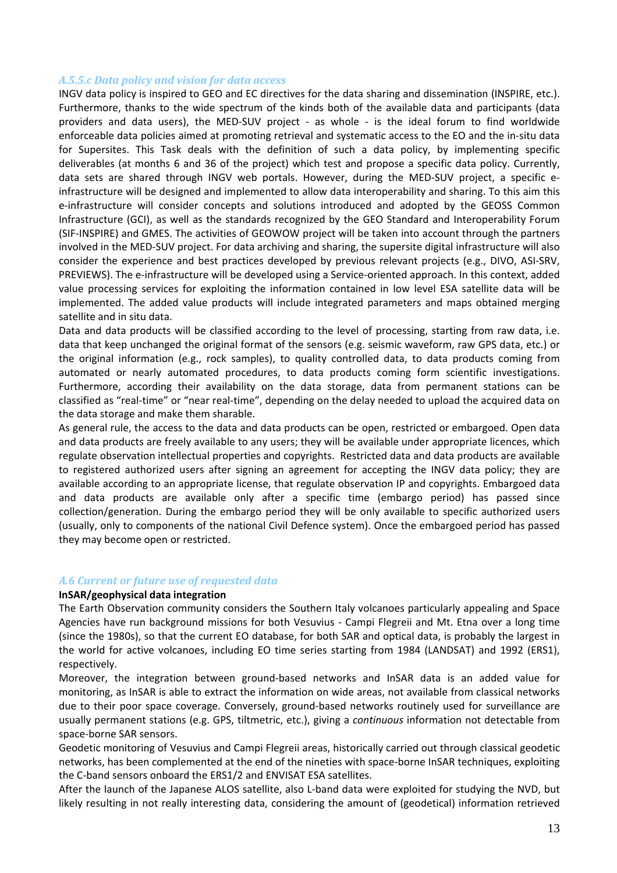### *A.5.5.c Data policy and vision for data access*

INGV data policy is inspired to GEO and EC directives for the data sharing and dissemination (INSPIRE, etc.). Furthermore, thanks to the wide spectrum of the kinds both of the available data and participants (data providers and data users), the MED-SUV project - as whole - is the ideal forum to find worldwide enforceable data policies aimed at promoting retrieval and systematic access to the EO and the in‐situ data for Supersites. This Task deals with the definition of such a data policy, by implementing specific deliverables (at months 6 and 36 of the project) which test and propose a specific data policy. Currently, data sets are shared through INGV web portals. However, during the MED‐SUV project, a specific e‐ infrastructure will be designed and implemented to allow data interoperability and sharing. To this aim this e-infrastructure will consider concepts and solutions introduced and adopted by the GEOSS Common Infrastructure (GCI), as well as the standards recognized by the GEO Standard and Interoperability Forum (SIF‐INSPIRE) and GMES. The activities of GEOWOW project will be taken into account through the partners involved in the MED‐SUV project. For data archiving and sharing, the supersite digital infrastructure will also consider the experience and best practices developed by previous relevant projects (e.g., DIVO, ASI‐SRV, PREVIEWS). The e‐infrastructure will be developed using a Service‐oriented approach. In this context, added value processing services for exploiting the information contained in low level ESA satellite data will be implemented. The added value products will include integrated parameters and maps obtained merging satellite and in situ data.

Data and data products will be classified according to the level of processing, starting from raw data, i.e. data that keep unchanged the original format of the sensors (e.g. seismic waveform, raw GPS data, etc.) or the original information (e.g., rock samples), to quality controlled data, to data products coming from automated or nearly automated procedures, to data products coming form scientific investigations. Furthermore, according their availability on the data storage, data from permanent stations can be classified as "real‐time" or "near real‐time", depending on the delay needed to upload the acquired data on the data storage and make them sharable.

As general rule, the access to the data and data products can be open, restricted or embargoed. Open data and data products are freely available to any users; they will be available under appropriate licences, which regulate observation intellectual properties and copyrights. Restricted data and data products are available to registered authorized users after signing an agreement for accepting the INGV data policy; they are available according to an appropriate license, that regulate observation IP and copyrights. Embargoed data and data products are available only after a specific time (embargo period) has passed since collection/generation. During the embargo period they will be only available to specific authorized users (usually, only to components of the national Civil Defence system). Once the embargoed period has passed they may become open or restricted.

### *A.6 Current or future use of requested data*

#### **InSAR/geophysical data integration**

The Earth Observation community considers the Southern Italy volcanoes particularly appealing and Space Agencies have run background missions for both Vesuvius ‐ Campi Flegreii and Mt. Etna over a long time (since the 1980s), so that the current EO database, for both SAR and optical data, is probably the largest in the world for active volcanoes, including EO time series starting from 1984 (LANDSAT) and 1992 (ERS1), respectively.

Moreover, the integration between ground‐based networks and InSAR data is an added value for monitoring, as InSAR is able to extract the information on wide areas, not available from classical networks due to their poor space coverage. Conversely, ground‐based networks routinely used for surveillance are usually permanent stations (e.g. GPS, tiltmetric, etc.), giving a *continuous* information not detectable from space‐borne SAR sensors.

Geodetic monitoring of Vesuvius and Campi Flegreii areas, historically carried out through classical geodetic networks, has been complemented at the end of the nineties with space‐borne InSAR techniques, exploiting the C-band sensors onboard the ERS1/2 and ENVISAT ESA satellites.

After the launch of the Japanese ALOS satellite, also L‐band data were exploited for studying the NVD, but likely resulting in not really interesting data, considering the amount of (geodetical) information retrieved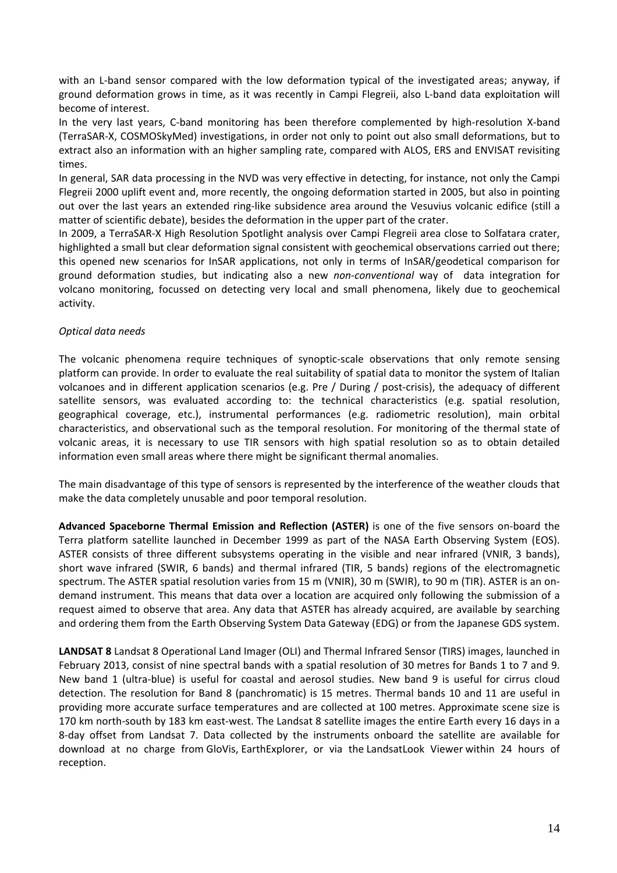with an L-band sensor compared with the low deformation typical of the investigated areas; anyway, if ground deformation grows in time, as it was recently in Campi Flegreii, also L‐band data exploitation will become of interest.

In the very last years, C‐band monitoring has been therefore complemented by high‐resolution X‐band (TerraSAR‐X, COSMOSkyMed) investigations, in order not only to point out also small deformations, but to extract also an information with an higher sampling rate, compared with ALOS, ERS and ENVISAT revisiting times.

In general, SAR data processing in the NVD was very effective in detecting, for instance, not only the Campi Flegreii 2000 uplift event and, more recently, the ongoing deformation started in 2005, but also in pointing out over the last years an extended ring‐like subsidence area around the Vesuvius volcanic edifice (still a matter of scientific debate), besides the deformation in the upper part of the crater.

In 2009, a TerraSAR‐X High Resolution Spotlight analysis over Campi Flegreii area close to Solfatara crater, highlighted a small but clear deformation signal consistent with geochemical observations carried out there; this opened new scenarios for InSAR applications, not only in terms of InSAR/geodetical comparison for ground deformation studies, but indicating also a new *non‐conventional* way of data integration for volcano monitoring, focussed on detecting very local and small phenomena, likely due to geochemical activity.

# *Optical data needs*

The volcanic phenomena require techniques of synoptic-scale observations that only remote sensing platform can provide. In order to evaluate the real suitability of spatial data to monitor the system of Italian volcanoes and in different application scenarios (e.g. Pre / During / post-crisis), the adequacy of different satellite sensors, was evaluated according to: the technical characteristics (e.g. spatial resolution, geographical coverage, etc.), instrumental performances (e.g. radiometric resolution), main orbital characteristics, and observational such as the temporal resolution. For monitoring of the thermal state of volcanic areas, it is necessary to use TIR sensors with high spatial resolution so as to obtain detailed information even small areas where there might be significant thermal anomalies.

The main disadvantage of this type of sensors is represented by the interference of the weather clouds that make the data completely unusable and poor temporal resolution.

**Advanced Spaceborne Thermal Emission and Reflection (ASTER)** is one of the five sensors on‐board the Terra platform satellite launched in December 1999 as part of the NASA Earth Observing System (EOS). ASTER consists of three different subsystems operating in the visible and near infrared (VNIR, 3 bands), short wave infrared (SWIR, 6 bands) and thermal infrared (TIR, 5 bands) regions of the electromagnetic spectrum. The ASTER spatial resolution varies from 15 m (VNIR), 30 m (SWIR), to 90 m (TIR). ASTER is an ondemand instrument. This means that data over a location are acquired only following the submission of a request aimed to observe that area. Any data that ASTER has already acquired, are available by searching and ordering them from the Earth Observing System Data Gateway (EDG) or from the Japanese GDS system.

**LANDSAT 8** Landsat 8 Operational Land Imager (OLI) and Thermal Infrared Sensor (TIRS) images, launched in February 2013, consist of nine spectral bands with a spatial resolution of 30 metres for Bands 1 to 7 and 9. New band 1 (ultra‐blue) is useful for coastal and aerosol studies. New band 9 is useful for cirrus cloud detection. The resolution for Band 8 (panchromatic) is 15 metres. Thermal bands 10 and 11 are useful in providing more accurate surface temperatures and are collected at 100 metres. Approximate scene size is 170 km north‐south by 183 km east‐west. The Landsat 8 satellite images the entire Earth every 16 days in a 8‐day offset from Landsat 7. Data collected by the instruments onboard the satellite are available for download at no charge from GloVis, EarthExplorer, or via the LandsatLook Viewer within 24 hours of reception.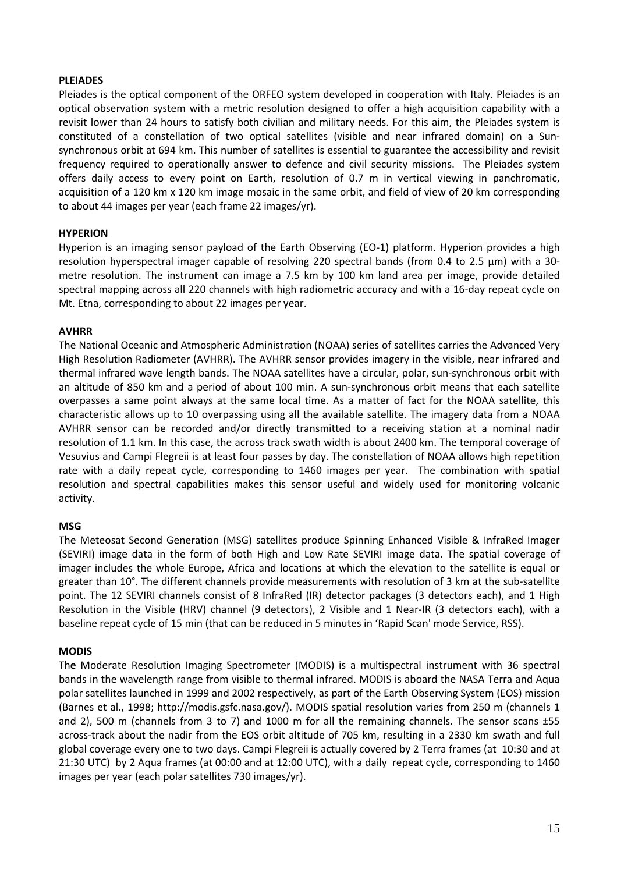## **PLEIADES**

Pleiades is the optical component of the ORFEO system developed in cooperation with Italy. Pleiades is an optical observation system with a metric resolution designed to offer a high acquisition capability with a revisit lower than 24 hours to satisfy both civilian and military needs. For this aim, the Pleiades system is constituted of a constellation of two optical satellites (visible and near infrared domain) on a Sun‐ synchronous orbit at 694 km. This number of satellites is essential to guarantee the accessibility and revisit frequency required to operationally answer to defence and civil security missions. The Pleiades system offers daily access to every point on Earth, resolution of 0.7 m in vertical viewing in panchromatic, acquisition of a 120 km x 120 km image mosaic in the same orbit, and field of view of 20 km corresponding to about 44 images per year (each frame 22 images/yr).

# **HYPERION**

Hyperion is an imaging sensor payload of the Earth Observing (EO‐1) platform. Hyperion provides a high resolution hyperspectral imager capable of resolving 220 spectral bands (from 0.4 to 2.5 µm) with a 30‐ metre resolution. The instrument can image a 7.5 km by 100 km land area per image, provide detailed spectral mapping across all 220 channels with high radiometric accuracy and with a 16‐day repeat cycle on Mt. Etna, corresponding to about 22 images per year.

### **AVHRR**

The National Oceanic and Atmospheric Administration (NOAA) series of satellites carries the Advanced Very High Resolution Radiometer (AVHRR). The AVHRR sensor provides imagery in the visible, near infrared and thermal infrared wave length bands. The NOAA satellites have a circular, polar, sun‐synchronous orbit with an altitude of 850 km and a period of about 100 min. A sun-synchronous orbit means that each satellite overpasses a same point always at the same local time. As a matter of fact for the NOAA satellite, this characteristic allows up to 10 overpassing using all the available satellite. The imagery data from a NOAA AVHRR sensor can be recorded and/or directly transmitted to a receiving station at a nominal nadir resolution of 1.1 km. In this case, the across track swath width is about 2400 km. The temporal coverage of Vesuvius and Campi Flegreii is at least four passes by day. The constellation of NOAA allows high repetition rate with a daily repeat cycle, corresponding to 1460 images per year. The combination with spatial resolution and spectral capabilities makes this sensor useful and widely used for monitoring volcanic activity.

### **MSG**

The Meteosat Second Generation (MSG) satellites produce Spinning Enhanced Visible & InfraRed Imager (SEVIRI) image data in the form of both High and Low Rate SEVIRI image data. The spatial coverage of imager includes the whole Europe, Africa and locations at which the elevation to the satellite is equal or greater than 10°. The different channels provide measurements with resolution of 3 km at the sub-satellite point. The 12 SEVIRI channels consist of 8 InfraRed (IR) detector packages (3 detectors each), and 1 High Resolution in the Visible (HRV) channel (9 detectors), 2 Visible and 1 Near‐IR (3 detectors each), with a baseline repeat cycle of 15 min (that can be reduced in 5 minutes in 'Rapid Scan' mode Service, RSS).

### **MODIS**

Th**e** Moderate Resolution Imaging Spectrometer (MODIS) is a multispectral instrument with 36 spectral bands in the wavelength range from visible to thermal infrared. MODIS is aboard the NASA Terra and Aqua polar satellites launched in 1999 and 2002 respectively, as part of the Earth Observing System (EOS) mission (Barnes et al., 1998; http://modis.gsfc.nasa.gov/). MODIS spatial resolution varies from 250 m (channels 1 and 2), 500 m (channels from 3 to 7) and 1000 m for all the remaining channels. The sensor scans  $\pm$ 55 across‐track about the nadir from the EOS orbit altitude of 705 km, resulting in a 2330 km swath and full global coverage every one to two days. Campi Flegreii is actually covered by 2 Terra frames (at 10:30 and at 21:30 UTC) by 2 Aqua frames (at 00:00 and at 12:00 UTC), with a daily repeat cycle, corresponding to 1460 images per year (each polar satellites 730 images/yr).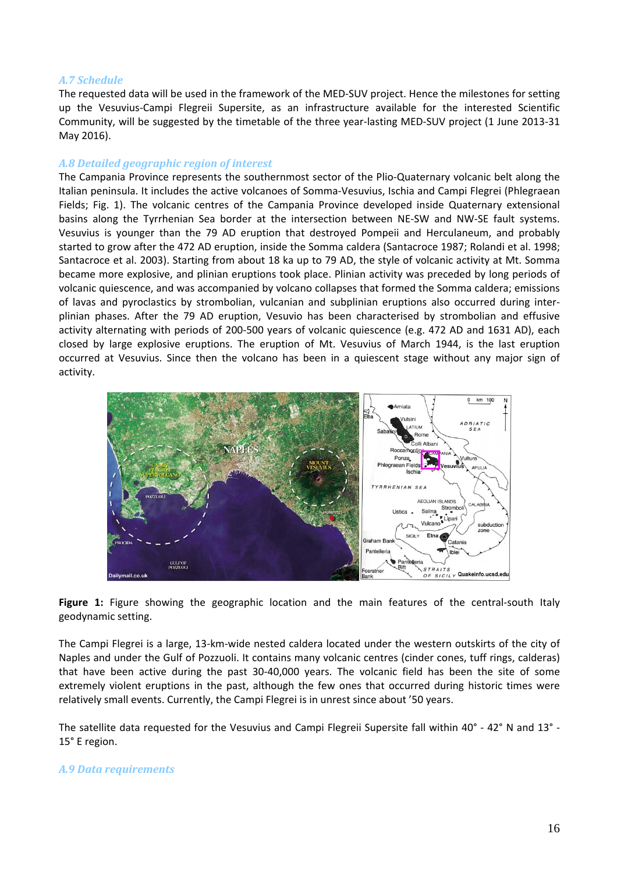# *A.7 Schedule*

The requested data will be used in the framework of the MED‐SUV project. Hence the milestones for setting up the Vesuvius‐Campi Flegreii Supersite, as an infrastructure available for the interested Scientific Community, will be suggested by the timetable of the three year‐lasting MED‐SUV project (1 June 2013‐31 May 2016).

# *A.8 Detailed geographic region of interest*

The Campania Province represents the southernmost sector of the Plio‐Quaternary volcanic belt along the Italian peninsula. It includes the active volcanoes of Somma‐Vesuvius, Ischia and Campi Flegrei (Phlegraean Fields; Fig. 1). The volcanic centres of the Campania Province developed inside Quaternary extensional basins along the Tyrrhenian Sea border at the intersection between NE‐SW and NW‐SE fault systems. Vesuvius is younger than the 79 AD eruption that destroyed Pompeii and Herculaneum, and probably started to grow after the 472 AD eruption, inside the Somma caldera (Santacroce 1987; Rolandi et al. 1998; Santacroce et al. 2003). Starting from about 18 ka up to 79 AD, the style of volcanic activity at Mt. Somma became more explosive, and plinian eruptions took place. Plinian activity was preceded by long periods of volcanic quiescence, and was accompanied by volcano collapses that formed the Somma caldera; emissions of lavas and pyroclastics by strombolian, vulcanian and subplinian eruptions also occurred during inter‐ plinian phases. After the 79 AD eruption, Vesuvio has been characterised by strombolian and effusive activity alternating with periods of 200‐500 years of volcanic quiescence (e.g. 472 AD and 1631 AD), each closed by large explosive eruptions. The eruption of Mt. Vesuvius of March 1944, is the last eruption occurred at Vesuvius. Since then the volcano has been in a quiescent stage without any major sign of activity.



**Figure 1:** Figure showing the geographic location and the main features of the central‐south Italy geodynamic setting.

The Campi Flegrei is a large, 13‐km‐wide nested caldera located under the western outskirts of the city of Naples and under the Gulf of Pozzuoli. It contains many volcanic centres (cinder cones, tuff rings, calderas) that have been active during the past 30‐40,000 years. The volcanic field has been the site of some extremely violent eruptions in the past, although the few ones that occurred during historic times were relatively small events. Currently, the Campi Flegrei is in unrest since about '50 years.

The satellite data requested for the Vesuvius and Campi Flegreii Supersite fall within 40° ‐ 42° N and 13° ‐ 15° E region.

### *A.9 Data requirements*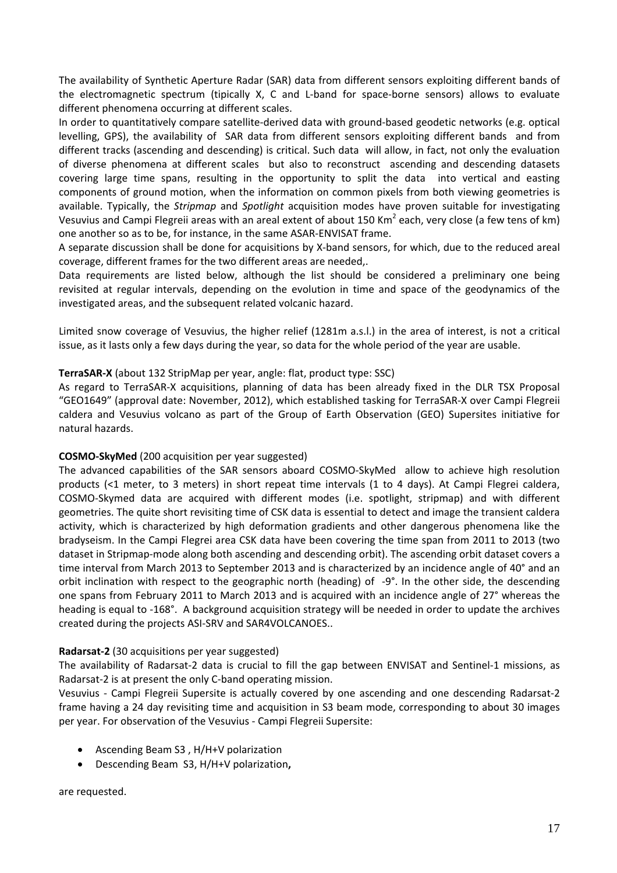The availability of Synthetic Aperture Radar (SAR) data from different sensors exploiting different bands of the electromagnetic spectrum (tipically X, C and L‐band for space‐borne sensors) allows to evaluate different phenomena occurring at different scales.

In order to quantitatively compare satellite‐derived data with ground‐based geodetic networks (e.g. optical levelling, GPS), the availability of SAR data from different sensors exploiting different bands and from different tracks (ascending and descending) is critical. Such data will allow, in fact, not only the evaluation of diverse phenomena at different scales but also to reconstruct ascending and descending datasets covering large time spans, resulting in the opportunity to split the data into vertical and easting components of ground motion, when the information on common pixels from both viewing geometries is available. Typically, the *Stripmap* and *Spotlight* acquisition modes have proven suitable for investigating Vesuvius and Campi Flegreii areas with an areal extent of about 150 Km<sup>2</sup> each, very close (a few tens of km) one another so as to be, for instance, in the same ASAR‐ENVISAT frame.

A separate discussion shall be done for acquisitions by X‐band sensors, for which, due to the reduced areal coverage, different frames for the two different areas are needed,.

Data requirements are listed below, although the list should be considered a preliminary one being revisited at regular intervals, depending on the evolution in time and space of the geodynamics of the investigated areas, and the subsequent related volcanic hazard.

Limited snow coverage of Vesuvius, the higher relief (1281m a.s.l.) in the area of interest, is not a critical issue, as it lasts only a few days during the year, so data for the whole period of the year are usable.

# **TerraSAR‐X** (about 132 StripMap per year, angle: flat, product type: SSC)

As regard to TerraSAR‐X acquisitions, planning of data has been already fixed in the DLR TSX Proposal "GEO1649" (approval date: November, 2012), which established tasking for TerraSAR‐X over Campi Flegreii caldera and Vesuvius volcano as part of the Group of Earth Observation (GEO) Supersites initiative for natural hazards.

### **COSMO‐SkyMed** (200 acquisition per year suggested)

The advanced capabilities of the SAR sensors aboard COSMO‐SkyMed allow to achieve high resolution products (<1 meter, to 3 meters) in short repeat time intervals (1 to 4 days). At Campi Flegrei caldera, COSMO‐Skymed data are acquired with different modes (i.e. spotlight, stripmap) and with different geometries. The quite short revisiting time of CSK data is essential to detect and image the transient caldera activity, which is characterized by high deformation gradients and other dangerous phenomena like the bradyseism. In the Campi Flegrei area CSK data have been covering the time span from 2011 to 2013 (two dataset in Stripmap‐mode along both ascending and descending orbit). The ascending orbit dataset covers a time interval from March 2013 to September 2013 and is characterized by an incidence angle of 40° and an orbit inclination with respect to the geographic north (heading) of ‐9°. In the other side, the descending one spans from February 2011 to March 2013 and is acquired with an incidence angle of 27° whereas the heading is equal to -168°. A background acquisition strategy will be needed in order to update the archives created during the projects ASI‐SRV and SAR4VOLCANOES..

### **Radarsat‐2** (30 acquisitions per year suggested)

The availability of Radarsat‐2 data is crucial to fill the gap between ENVISAT and Sentinel‐1 missions, as Radarsat‐2 is at present the only C‐band operating mission.

Vesuvius ‐ Campi Flegreii Supersite is actually covered by one ascending and one descending Radarsat‐2 frame having a 24 day revisiting time and acquisition in S3 beam mode, corresponding to about 30 images per year. For observation of the Vesuvius ‐ Campi Flegreii Supersite:

- Ascending Beam S3 , H/H+V polarization
- Descending Beam S3, H/H+V polarization**,**

are requested.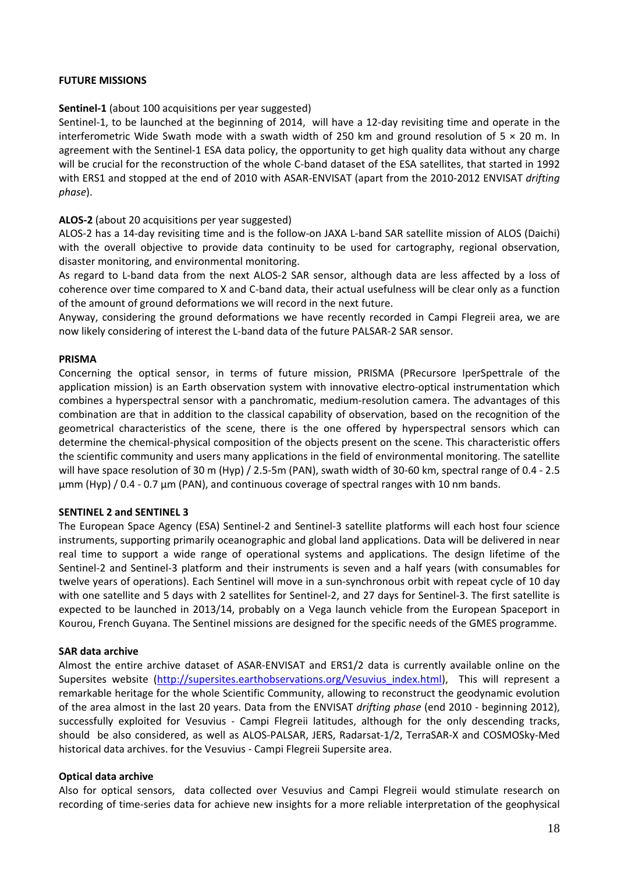## **FUTURE MISSIONS**

# **Sentinel‐1** (about 100 acquisitions per year suggested)

Sentinel-1, to be launched at the beginning of 2014, will have a 12-day revisiting time and operate in the interferometric Wide Swath mode with a swath width of 250 km and ground resolution of  $5 \times 20$  m. In agreement with the Sentinel‐1 ESA data policy, the opportunity to get high quality data without any charge will be crucial for the reconstruction of the whole C-band dataset of the ESA satellites, that started in 1992 with ERS1 and stopped at the end of 2010 with ASAR‐ENVISAT (apart from the 2010‐2012 ENVISAT *drifting phase*).

# **ALOS‐2** (about 20 acquisitions per year suggested)

ALOS‐2 has a 14‐day revisiting time and is the follow‐on JAXA L‐band SAR satellite mission of ALOS (Daichi) with the overall objective to provide data continuity to be used for cartography, regional observation, disaster monitoring, and environmental monitoring.

As regard to L‐band data from the next ALOS‐2 SAR sensor, although data are less affected by a loss of coherence over time compared to X and C‐band data, their actual usefulness will be clear only as a function of the amount of ground deformations we will record in the next future.

Anyway, considering the ground deformations we have recently recorded in Campi Flegreii area, we are now likely considering of interest the L‐band data of the future PALSAR‐2 SAR sensor.

### **PRISMA**

Concerning the optical sensor, in terms of future mission, PRISMA (PRecursore IperSpettrale of the application mission) is an Earth observation system with innovative electro-optical instrumentation which combines a hyperspectral sensor with a panchromatic, medium-resolution camera. The advantages of this combination are that in addition to the classical capability of observation, based on the recognition of the geometrical characteristics of the scene, there is the one offered by hyperspectral sensors which can determine the chemical‐physical composition of the objects present on the scene. This characteristic offers the scientific community and users many applications in the field of environmental monitoring. The satellite will have space resolution of 30 m (Hyp) / 2.5‐5m (PAN), swath width of 30‐60 km, spectral range of 0.4 ‐ 2.5 µmm (Hyp) / 0.4 - 0.7 µm (PAN), and continuous coverage of spectral ranges with 10 nm bands.

### **SENTINEL 2 and SENTINEL 3**

The European Space Agency (ESA) Sentinel‐2 and Sentinel‐3 satellite platforms will each host four science instruments, supporting primarily oceanographic and global land applications. Data will be delivered in near real time to support a wide range of operational systems and applications. The design lifetime of the Sentinel‐2 and Sentinel‐3 platform and their instruments is seven and a half years (with consumables for twelve years of operations). Each Sentinel will move in a sun‐synchronous orbit with repeat cycle of 10 day with one satellite and 5 days with 2 satellites for Sentinel‐2, and 27 days for Sentinel‐3. The first satellite is expected to be launched in 2013/14, probably on a Vega launch vehicle from the European Spaceport in Kourou, French Guyana. The Sentinel missions are designed for the specific needs of the GMES programme.

### **SAR data archive**

Almost the entire archive dataset of ASAR‐ENVISAT and ERS1/2 data is currently available online on the Supersites website (http://supersites.earthobservations.org/Vesuvius index.html), This will represent a remarkable heritage for the whole Scientific Community, allowing to reconstruct the geodynamic evolution of the area almost in the last 20 years. Data from the ENVISAT *drifting phase* (end 2010 ‐ beginning 2012), successfully exploited for Vesuvius - Campi Flegreii latitudes, although for the only descending tracks, should be also considered, as well as ALOS‐PALSAR, JERS, Radarsat‐1/2, TerraSAR‐X and COSMOSky‐Med historical data archives. for the Vesuvius ‐ Campi Flegreii Supersite area.

### **Optical data archive**

Also for optical sensors, data collected over Vesuvius and Campi Flegreii would stimulate research on recording of time‐series data for achieve new insights for a more reliable interpretation of the geophysical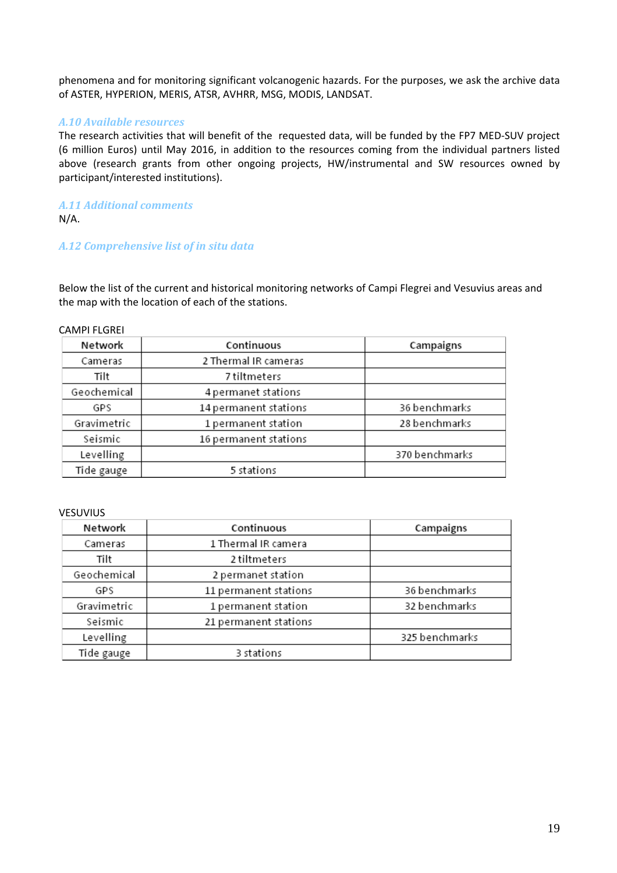phenomena and for monitoring significant volcanogenic hazards. For the purposes, we ask the archive data of ASTER, HYPERION, MERIS, ATSR, AVHRR, MSG, MODIS, LANDSAT.

# *A.10 Available resources*

The research activities that will benefit of the requested data, will be funded by the FP7 MED‐SUV project (6 million Euros) until May 2016, in addition to the resources coming from the individual partners listed above (research grants from other ongoing projects, HW/instrumental and SW resources owned by participant/interested institutions).

*A.11 Additional comments* N/A.

# *A.12 Comprehensive list of in situ data*

Below the list of the current and historical monitoring networks of Campi Flegrei and Vesuvius areas and the map with the location of each of the stations.

#### CAMPI FLGREI

| Network     | Continuous            | Campaigns      |
|-------------|-----------------------|----------------|
| Cameras     | 2 Thermal IR cameras  |                |
| Tilt        | 7 tiltmeters          |                |
| Geochemical | 4 permanet stations   |                |
| GPS         | 14 permanent stations | 36 benchmarks  |
| Gravimetric | 1 permanent station   | 28 benchmarks  |
| Seismic     | 16 permanent stations |                |
| Levelling   |                       | 370 benchmarks |
| Tide gauge  | 5 stations            |                |

#### **VESUVIUS**

| Network     | Continuous            | Campaigns      |
|-------------|-----------------------|----------------|
| Cameras     | 1 Thermal IR camera   |                |
| Tilt        | 2 tiltmeters          |                |
| Geochemical | 2 permanet station    |                |
| GPS         | 11 permanent stations | 36 benchmarks  |
| Gravimetric | 1 permanent station   | 32 benchmarks  |
| Seismic     | 21 permanent stations |                |
| Levelling   |                       | 325 benchmarks |
| Tide gauge  | 3 stations            |                |